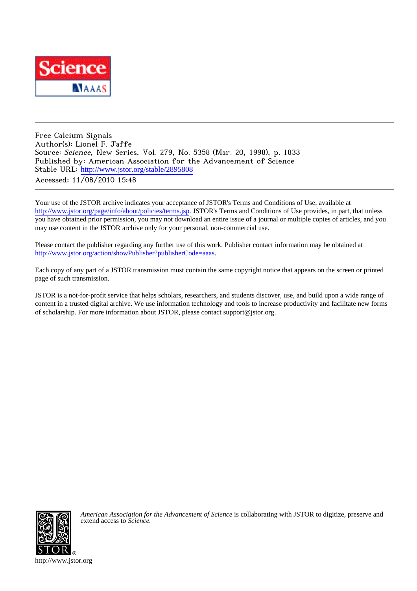

Free Calcium Signals Author(s): Lionel F. Jaffe Source: Science, New Series, Vol. 279, No. 5358 (Mar. 20, 1998), p. 1833 Published by: American Association for the Advancement of Science Stable URL: [http://www.jstor.org/stable/2895808](http://www.jstor.org/stable/2895808?origin=JSTOR-pdf) Accessed: 11/08/2010 15:48

Your use of the JSTOR archive indicates your acceptance of JSTOR's Terms and Conditions of Use, available at <http://www.jstor.org/page/info/about/policies/terms.jsp>. JSTOR's Terms and Conditions of Use provides, in part, that unless you have obtained prior permission, you may not download an entire issue of a journal or multiple copies of articles, and you may use content in the JSTOR archive only for your personal, non-commercial use.

Please contact the publisher regarding any further use of this work. Publisher contact information may be obtained at <http://www.jstor.org/action/showPublisher?publisherCode=aaas>.

Each copy of any part of a JSTOR transmission must contain the same copyright notice that appears on the screen or printed page of such transmission.

JSTOR is a not-for-profit service that helps scholars, researchers, and students discover, use, and build upon a wide range of content in a trusted digital archive. We use information technology and tools to increase productivity and facilitate new forms of scholarship. For more information about JSTOR, please contact support@jstor.org.



*American Association for the Advancement of Science* is collaborating with JSTOR to digitize, preserve and extend access to *Science.*